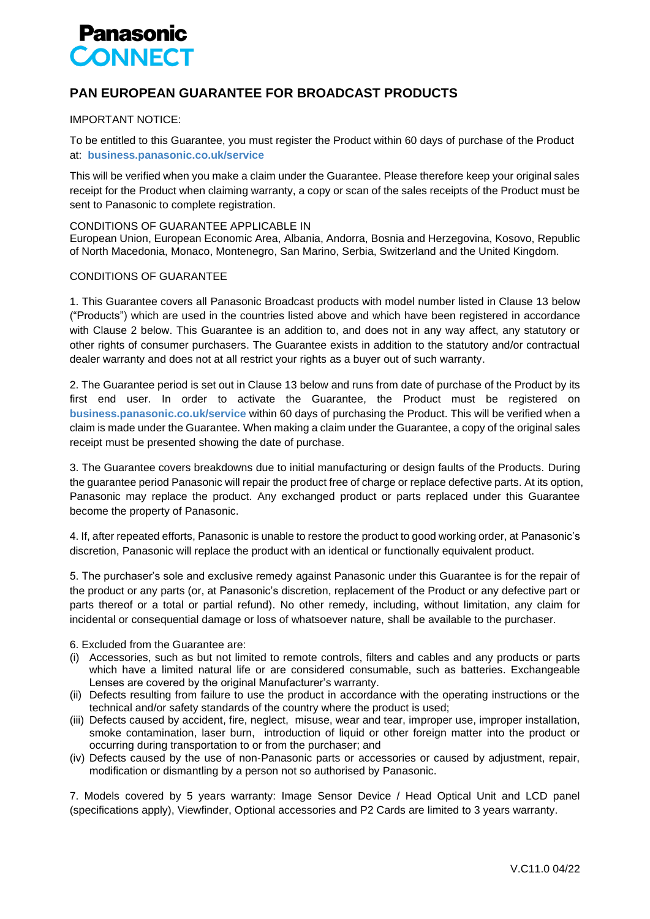

## **PAN EUROPEAN GUARANTEE FOR BROADCAST PRODUCTS**

## IMPORTANT NOTICE:

To be entitled to this Guarantee, you must register the Product within 60 days of purchase of the Product at: **business.panasonic.co.uk/service**

This will be verified when you make a claim under the Guarantee. Please therefore keep your original sales receipt for the Product when claiming warranty, a copy or scan of the sales receipts of the Product must be sent to Panasonic to complete registration.

## CONDITIONS OF GUARANTEE APPLICABLE IN

European Union, European Economic Area, Albania, Andorra, Bosnia and Herzegovina, Kosovo, Republic of North Macedonia, Monaco, Montenegro, San Marino, Serbia, Switzerland and the United Kingdom.

## CONDITIONS OF GUARANTEE

1. This Guarantee covers all Panasonic Broadcast products with model number listed in Clause 13 below ("Products") which are used in the countries listed above and which have been registered in accordance with Clause 2 below. This Guarantee is an addition to, and does not in any way affect, any statutory or other rights of consumer purchasers. The Guarantee exists in addition to the statutory and/or contractual dealer warranty and does not at all restrict your rights as a buyer out of such warranty.

2. The Guarantee period is set out in Clause 13 below and runs from date of purchase of the Product by its first end user. In order to activate the Guarantee, the Product must be registered on **business.panasonic.co.uk/service** within 60 days of purchasing the Product. This will be verified when a claim is made under the Guarantee. When making a claim under the Guarantee, a copy of the original sales receipt must be presented showing the date of purchase.

3. The Guarantee covers breakdowns due to initial manufacturing or design faults of the Products. During the guarantee period Panasonic will repair the product free of charge or replace defective parts. At its option, Panasonic may replace the product. Any exchanged product or parts replaced under this Guarantee become the property of Panasonic.

4. If, after repeated efforts, Panasonic is unable to restore the product to good working order, at Panasonic's discretion, Panasonic will replace the product with an identical or functionally equivalent product.

5. The purchaser's sole and exclusive remedy against Panasonic under this Guarantee is for the repair of the product or any parts (or, at Panasonic's discretion, replacement of the Product or any defective part or parts thereof or a total or partial refund). No other remedy, including, without limitation, any claim for incidental or consequential damage or loss of whatsoever nature, shall be available to the purchaser.

6. Excluded from the Guarantee are:

- (i) Accessories, such as but not limited to remote controls, filters and cables and any products or parts which have a limited natural life or are considered consumable, such as batteries. Exchangeable Lenses are covered by the original Manufacturer's warranty.
- (ii) Defects resulting from failure to use the product in accordance with the operating instructions or the technical and/or safety standards of the country where the product is used;
- (iii) Defects caused by accident, fire, neglect, misuse, wear and tear, improper use, improper installation, smoke contamination, laser burn, introduction of liquid or other foreign matter into the product or occurring during transportation to or from the purchaser; and
- (iv) Defects caused by the use of non‐Panasonic parts or accessories or caused by adjustment, repair, modification or dismantling by a person not so authorised by Panasonic.

7. Models covered by 5 years warranty: Image Sensor Device / Head Optical Unit and LCD panel (specifications apply), Viewfinder, Optional accessories and P2 Cards are limited to 3 years warranty.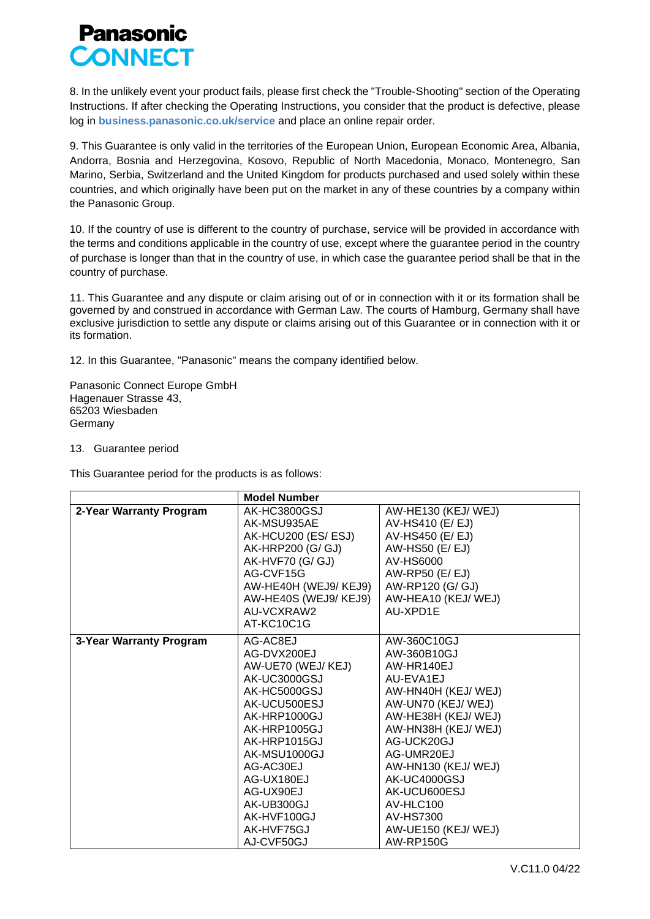

8. In the unlikely event your product fails, please first check the "Trouble‐Shooting" section of the Operating Instructions. If after checking the Operating Instructions, you consider that the product is defective, please log in **business.panasonic.co.uk/service** and place an online repair order.

9. This Guarantee is only valid in the territories of the European Union, European Economic Area, Albania, Andorra, Bosnia and Herzegovina, Kosovo, Republic of North Macedonia, Monaco, Montenegro, San Marino, Serbia, Switzerland and the United Kingdom for products purchased and used solely within these countries, and which originally have been put on the market in any of these countries by a company within the Panasonic Group.

10. If the country of use is different to the country of purchase, service will be provided in accordance with the terms and conditions applicable in the country of use, except where the guarantee period in the country of purchase is longer than that in the country of use, in which case the guarantee period shall be that in the country of purchase.

11. This Guarantee and any dispute or claim arising out of or in connection with it or its formation shall be governed by and construed in accordance with German Law. The courts of Hamburg, Germany shall have exclusive jurisdiction to settle any dispute or claims arising out of this Guarantee or in connection with it or its formation.

12. In this Guarantee, "Panasonic" means the company identified below.

Panasonic Connect Europe GmbH Hagenauer Strasse 43, 65203 Wiesbaden Germany

13. Guarantee period

This Guarantee period for the products is as follows:

|                         | <b>Model Number</b>                                                                                                                                                                                                                                           |                                                                                                                                                                                                                                                                                                    |
|-------------------------|---------------------------------------------------------------------------------------------------------------------------------------------------------------------------------------------------------------------------------------------------------------|----------------------------------------------------------------------------------------------------------------------------------------------------------------------------------------------------------------------------------------------------------------------------------------------------|
| 2-Year Warranty Program | AK-HC3800GSJ<br>AK-MSU935AE<br>AK-HCU200 (ES/ESJ)<br>AK-HRP200 (G/ GJ)                                                                                                                                                                                        | AW-HE130 (KEJ/ WEJ)<br>AV-HS410 (E/ EJ)<br>AV-HS450 (E/ EJ)<br>AW-HS50 (E/EJ)                                                                                                                                                                                                                      |
|                         | AK-HVF70 (G/ GJ)<br>AG-CVF15G<br>AW-HE40H (WEJ9/KEJ9)<br>AW-HE40S (WEJ9/KEJ9)<br>AU-VCXRAW2<br>AT-KC10C1G                                                                                                                                                     | AV-HS6000<br>AW-RP50 (E/EJ)<br>AW-RP120 (G/ GJ)<br>AW-HEA10 (KEJ/WEJ)<br>AU-XPD1E                                                                                                                                                                                                                  |
| 3-Year Warranty Program | AG-AC8EJ<br>AG-DVX200EJ<br>AW-UE70 (WEJ/KEJ)<br>AK-UC3000GSJ<br>AK-HC5000GSJ<br>AK-UCU500ESJ<br>AK-HRP1000GJ<br>AK-HRP1005GJ<br>AK-HRP1015GJ<br>AK-MSU1000GJ<br>AG-AC30EJ<br>AG-UX180EJ<br>AG-UX90EJ<br>AK-UB300GJ<br>AK-HVF100GJ<br>AK-HVF75GJ<br>AJ-CVF50GJ | AW-360C10GJ<br>AW-360B10GJ<br>AW-HR140EJ<br>AU-EVA1EJ<br>AW-HN40H (KEJ/WEJ)<br>AW-UN70 (KEJ/WEJ)<br>AW-HE38H (KEJ/WEJ)<br>AW-HN38H (KEJ/WEJ)<br>AG-UCK20GJ<br>AG-UMR20EJ<br>AW-HN130 (KEJ/WEJ)<br>AK-UC4000GSJ<br>AK-UCU600ESJ<br>AV-HLC100<br>AV-HS7300<br>AW-UE150 (KEJ/WEJ)<br><b>AW-RP150G</b> |